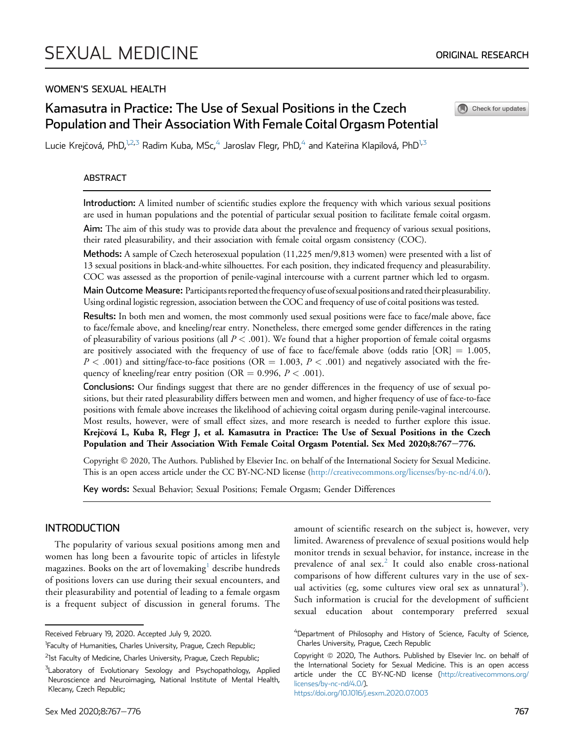# WOMEN'S SEXUAL HEALTH

# Kamasutra in Practice: The Use of Sexual Positions in the Czech Population and Their Association With Female Coital Orgasm Potential

Check for updates

Lucie Krejčová, PhD, $^{1,2,3}$  $^{1,2,3}$  $^{1,2,3}$  $^{1,2,3}$  Radim Kuba, MSc, $^{4}$  $^{4}$  $^{4}$  Jaroslav Flegr, PhD, $^{4}$  and Kateřina Klapilová, PhD $^{1,3}$  $^{1,3}$  $^{1,3}$ 

### ABSTRACT

Introduction: A limited number of scientific studies explore the frequency with which various sexual positions are used in human populations and the potential of particular sexual position to facilitate female coital orgasm. Aim: The aim of this study was to provide data about the prevalence and frequency of various sexual positions, their rated pleasurability, and their association with female coital orgasm consistency (COC).

Methods: A sample of Czech heterosexual population (11,225 men/9,813 women) were presented with a list of 13 sexual positions in black-and-white silhouettes. For each position, they indicated frequency and pleasurability. COC was assessed as the proportion of penile-vaginal intercourse with a current partner which led to orgasm.

Main Outcome Measure: Participants reported the frequency of use of sexual positions and rated their pleasurability. Using ordinal logistic regression, association between the COC and frequency of use of coital positions was tested.

Results: In both men and women, the most commonly used sexual positions were face to face/male above, face to face/female above, and kneeling/rear entry. Nonetheless, there emerged some gender differences in the rating of pleasurability of various positions (all  $P < .001$ ). We found that a higher proportion of female coital orgasms are positively associated with the frequency of use of face to face/female above (odds ratio  $[OR] = 1.005$ ,  $P < .001$ ) and sitting/face-to-face positions (OR = 1.003,  $P < .001$ ) and negatively associated with the frequency of kneeling/rear entry position (OR = 0.996,  $P < .001$ ).

Conclusions: Our findings suggest that there are no gender differences in the frequency of use of sexual positions, but their rated pleasurability differs between men and women, and higher frequency of use of face-to-face positions with female above increases the likelihood of achieving coital orgasm during penile-vaginal intercourse. Most results, however, were of small effect sizes, and more research is needed to further explore this issue. Krejcová L, Kuba R, Flegr J, et al. Kamasutra in Practice: The Use of Sexual Positions in the Czech Population and Their Association With Female Coital Orgasm Potential. Sex Med 2020;8:767-776.

Copyright 2020, The Authors. Published by Elsevier Inc. on behalf of the International Society for Sexual Medicine. This is an open access article under the CC BY-NC-ND license [\(http://creativecommons.org/licenses/by-nc-nd/4.0/](http://creativecommons.org/licenses/by-nc-nd/4.0/)).

Key words: Sexual Behavior; Sexual Positions; Female Orgasm; Gender Differences

# INTRODUCTION

The popularity of various sexual positions among men and women has long been a favourite topic of articles in lifestyle magazines. Books on the art of lovemaking $1$  describe hundreds of positions lovers can use during their sexual encounters, and their pleasurability and potential of leading to a female orgasm is a frequent subject of discussion in general forums. The amount of scientific research on the subject is, however, very limited. Awareness of prevalence of sexual positions would help monitor trends in sexual behavior, for instance, increase in the prevalence of anal  $sex<sup>2</sup>$  $sex<sup>2</sup>$  $sex<sup>2</sup>$  It could also enable cross-national comparisons of how different cultures vary in the use of sex-ual activities (eg, some cultures view oral sex as unnatural<sup>[3](#page-8-2)</sup>). Such information is crucial for the development of sufficient sexual education about contemporary preferred sexual

Received February 19, 2020. Accepted July 9, 2020.

<sup>&</sup>lt;sup>1</sup>Faculty of Humanities, Charles University, Prague, Czech Republic;

<span id="page-0-0"></span><sup>&</sup>lt;sup>2</sup>1st Faculty of Medicine, Charles University, Prague, Czech Republic;

<span id="page-0-1"></span><sup>&</sup>lt;sup>3</sup>Laboratory of Evolutionary Sexology and Psychopathology, Applied Neuroscience and Neuroimaging, National Institute of Mental Health, Klecany, Czech Republic;

<span id="page-0-2"></span><sup>&</sup>lt;sup>4</sup>Department of Philosophy and History of Science, Faculty of Science, Charles University, Prague, Czech Republic

Copyright @ 2020, The Authors. Published by Elsevier Inc. on behalf of the International Society for Sexual Medicine. This is an open access article under the CC BY-NC-ND license ([http://creativecommons.org/](http://creativecommons.org/licenses/by-nc-nd/4.0/) [licenses/by-nc-nd/4.0/](http://creativecommons.org/licenses/by-nc-nd/4.0/)). <https://doi.org/10.1016/j.esxm.2020.07.003>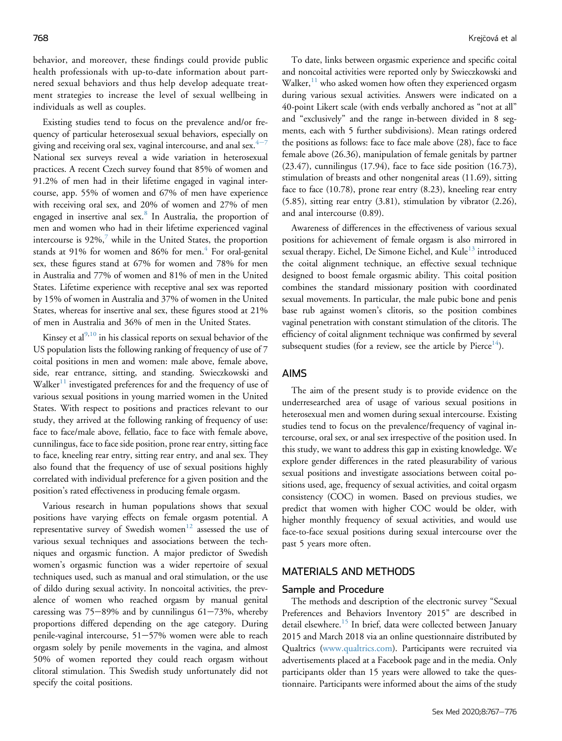behavior, and moreover, these findings could provide public health professionals with up-to-date information about partnered sexual behaviors and thus help develop adequate treatment strategies to increase the level of sexual wellbeing in individuals as well as couples.

Existing studies tend to focus on the prevalence and/or frequency of particular heterosexual sexual behaviors, especially on giving and receiving oral sex, vaginal intercourse, and anal sex. $4\frac{4-7}{8}$  $4\frac{4-7}{8}$  $4\frac{4-7}{8}$  $4\frac{4-7}{8}$ National sex surveys reveal a wide variation in heterosexual practices. A recent Czech survey found that 85% of women and 91.2% of men had in their lifetime engaged in vaginal intercourse, app. 55% of women and 67% of men have experience with receiving oral sex, and 20% of women and 27% of men engaged in insertive anal sex.<sup>[8](#page-8-4)</sup> In Australia, the proportion of men and women who had in their lifetime experienced vaginal intercourse is  $92\%$ , while in the United States, the proportion stands at 91% for women and 86% for men. $4$  For oral-genital sex, these figures stand at 67% for women and 78% for men in Australia and 77% of women and 81% of men in the United States. Lifetime experience with receptive anal sex was reported by 15% of women in Australia and 37% of women in the United States, whereas for insertive anal sex, these figures stood at 21% of men in Australia and 36% of men in the United States.

Kinsey et al $^{9,10}$  $^{9,10}$  $^{9,10}$  $^{9,10}$  in his classical reports on sexual behavior of the US population lists the following ranking of frequency of use of 7 coital positions in men and women: male above, female above, side, rear entrance, sitting, and standing. Swieczkowski and  $W\llap{alker<sup>11</sup>}$  $W\llap{alker<sup>11</sup>}$  $W\llap{alker<sup>11</sup>}$  investigated preferences for and the frequency of use of various sexual positions in young married women in the United States. With respect to positions and practices relevant to our study, they arrived at the following ranking of frequency of use: face to face/male above, fellatio, face to face with female above, cunnilingus, face to face side position, prone rear entry, sitting face to face, kneeling rear entry, sitting rear entry, and anal sex. They also found that the frequency of use of sexual positions highly correlated with individual preference for a given position and the position's rated effectiveness in producing female orgasm.

Various research in human populations shows that sexual positions have varying effects on female orgasm potential. A representative survey of Swedish women $12$  assessed the use of various sexual techniques and associations between the techniques and orgasmic function. A major predictor of Swedish women's orgasmic function was a wider repertoire of sexual techniques used, such as manual and oral stimulation, or the use of dildo during sexual activity. In noncoital activities, the prevalence of women who reached orgasm by manual genital caressing was  $75-89%$  and by cunnilingus  $61-73%$ , whereby proportions differed depending on the age category. During penile-vaginal intercourse,  $51-57%$  women were able to reach orgasm solely by penile movements in the vagina, and almost 50% of women reported they could reach orgasm without clitoral stimulation. This Swedish study unfortunately did not specify the coital positions.

To date, links between orgasmic experience and specific coital and noncoital activities were reported only by Swieczkowski and Walker, $^{11}$  $^{11}$  $^{11}$  who asked women how often they experienced orgasm during various sexual activities. Answers were indicated on a 40-point Likert scale (with ends verbally anchored as "not at all" and "exclusively" and the range in-between divided in 8 segments, each with 5 further subdivisions). Mean ratings ordered the positions as follows: face to face male above (28), face to face female above (26.36), manipulation of female genitals by partner (23.47), cunnilingus (17.94), face to face side position (16.73), stimulation of breasts and other nongenital areas (11.69), sitting face to face (10.78), prone rear entry (8.23), kneeling rear entry (5.85), sitting rear entry (3.81), stimulation by vibrator (2.26), and anal intercourse (0.89).

Awareness of differences in the effectiveness of various sexual positions for achievement of female orgasm is also mirrored in sexual therapy. Eichel, De Simone Eichel, and Kule<sup>[13](#page-8-10)</sup> introduced the coital alignment technique, an effective sexual technique designed to boost female orgasmic ability. This coital position combines the standard missionary position with coordinated sexual movements. In particular, the male pubic bone and penis base rub against women's clitoris, so the position combines vaginal penetration with constant stimulation of the clitoris. The efficiency of coital alignment technique was confirmed by several subsequent studies (for a review, see the article by Pierce<sup>[14](#page-8-11)</sup>).

## AIMS

The aim of the present study is to provide evidence on the underresearched area of usage of various sexual positions in heterosexual men and women during sexual intercourse. Existing studies tend to focus on the prevalence/frequency of vaginal intercourse, oral sex, or anal sex irrespective of the position used. In this study, we want to address this gap in existing knowledge. We explore gender differences in the rated pleasurability of various sexual positions and investigate associations between coital positions used, age, frequency of sexual activities, and coital orgasm consistency (COC) in women. Based on previous studies, we predict that women with higher COC would be older, with higher monthly frequency of sexual activities, and would use face-to-face sexual positions during sexual intercourse over the past 5 years more often.

# MATERIALS AND METHODS

# Sample and Procedure

The methods and description of the electronic survey "Sexual Preferences and Behaviors Inventory 2015" are described in detail elsewhere.<sup>[15](#page-8-12)</sup> In brief, data were collected between January 2015 and March 2018 via an online questionnaire distributed by Qualtrics [\(www.qualtrics.com\)](http://www.qualtrics.com). Participants were recruited via advertisements placed at a Facebook page and in the media. Only participants older than 15 years were allowed to take the questionnaire. Participants were informed about the aims of the study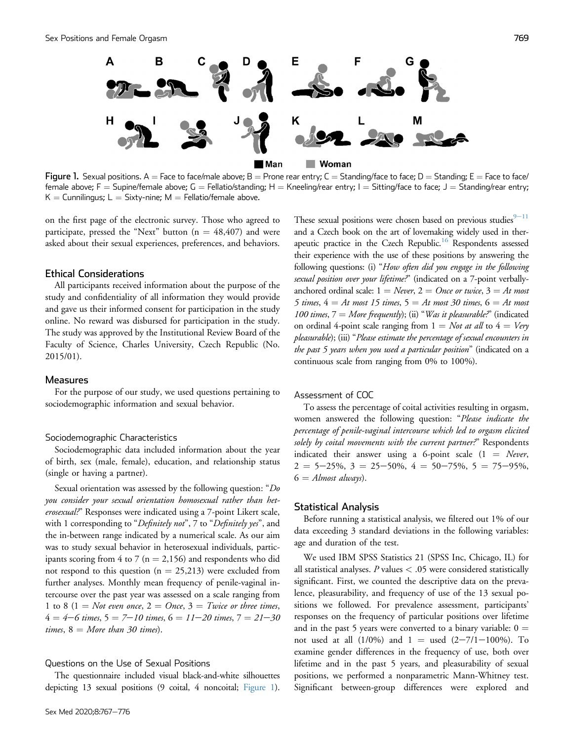<span id="page-2-0"></span>

Figure 1. Sexual positions. A = Face to face/male above; B = Prone rear entry; C = Standing/face to face; D = Standing; E = Face to face/ female above; F = Supine/female above; G = Fellatio/standing; H = Kneeling/rear entry; I = Sitting/face to face; J = Standing/rear entry;  $K =$  Cunnilingus; L = Sixty-nine; M = Fellatio/female above.

on the first page of the electronic survey. Those who agreed to participate, pressed the "Next" button ( $n = 48,407$ ) and were asked about their sexual experiences, preferences, and behaviors.

#### Ethical Considerations

All participants received information about the purpose of the study and confidentiality of all information they would provide and gave us their informed consent for participation in the study online. No reward was disbursed for participation in the study. The study was approved by the Institutional Review Board of the Faculty of Science, Charles University, Czech Republic (No. 2015/01).

# **Measures**

For the purpose of our study, we used questions pertaining to sociodemographic information and sexual behavior.

#### Sociodemographic Characteristics

Sociodemographic data included information about the year of birth, sex (male, female), education, and relationship status (single or having a partner).

Sexual orientation was assessed by the following question: "Do you consider your sexual orientation homosexual rather than heterosexual?" Responses were indicated using a 7-point Likert scale, with 1 corresponding to "Definitely not", 7 to "Definitely yes", and the in-between range indicated by a numerical scale. As our aim was to study sexual behavior in heterosexual individuals, participants scoring from 4 to 7 ( $n = 2,156$ ) and respondents who did not respond to this question ( $n = 25,213$ ) were excluded from further analyses. Monthly mean frequency of penile-vaginal intercourse over the past year was assessed on a scale ranging from 1 to 8 (1 = Not even once, 2 = Once, 3 = Twice or three times,  $4 = 4-6$  times,  $5 = 7-10$  times,  $6 = 11-20$  times,  $7 = 21-30$ times,  $8 = More than 30 times$ .

#### Questions on the Use of Sexual Positions

The questionnaire included visual black-and-white silhouettes depicting 13 sexual positions (9 coital, 4 noncoital; [Figure 1](#page-2-0)).

These sexual positions were chosen based on previous studies $9-11$  $9-11$ and a Czech book on the art of lovemaking widely used in therapeutic practice in the Czech Republic.<sup>16</sup> Respondents assessed their experience with the use of these positions by answering the following questions: (i) "How often did you engage in the following sexual position over your lifetime?" (indicated on a 7-point verballyanchored ordinal scale:  $1 = Never$ ,  $2 = Once$  or twice,  $3 = At$  most 5 times,  $4 = At$  most 15 times,  $5 = At$  most 30 times,  $6 = At$  most 100 times,  $7 = More frequently$ ; (ii) "Was it pleasurable?" (indicated on ordinal 4-point scale ranging from  $1 = Not$  at all to  $4 = Very$ pleasurable); (iii) "Please estimate the percentage of sexual encounters in the past 5 years when you used a particular position" (indicated on a continuous scale from ranging from 0% to 100%).

#### Assessment of COC

To assess the percentage of coital activities resulting in orgasm, women answered the following question: "Please indicate the percentage of penile-vaginal intercourse which led to orgasm elicited solely by coital movements with the current partner?" Respondents indicated their answer using a 6-point scale  $(1 = \text{Never},$  $2 = 5 - 25\%, 3 = 25 - 50\%, 4 = 50 - 75\%, 5 = 75 - 95\%,$  $6 =$  Almost always).

#### Statistical Analysis

Before running a statistical analysis, we filtered out 1% of our data exceeding 3 standard deviations in the following variables: age and duration of the test.

We used IBM SPSS Statistics 21 (SPSS Inc, Chicago, IL) for all statistical analyses.  $P$  values  $< .05$  were considered statistically significant. First, we counted the descriptive data on the prevalence, pleasurability, and frequency of use of the 13 sexual positions we followed. For prevalence assessment, participants' responses on the frequency of particular positions over lifetime and in the past 5 years were converted to a binary variable:  $0 =$ not used at all  $(1/0\%)$  and  $1 =$  used  $(2-7/1-100\%)$ . To examine gender differences in the frequency of use, both over lifetime and in the past 5 years, and pleasurability of sexual positions, we performed a nonparametric Mann-Whitney test. Significant between-group differences were explored and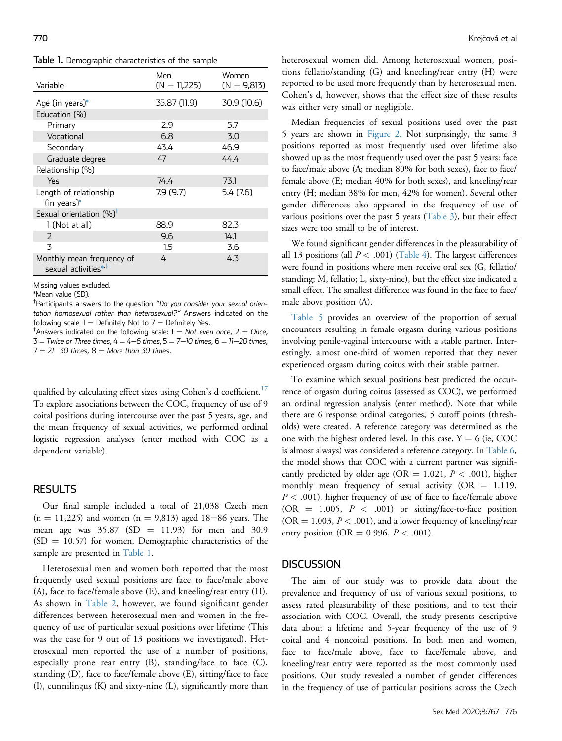<span id="page-3-0"></span>Table 1. Demographic characteristics of the sample

| Variable                                                      | Men<br>$(N = 11,225)$ | Women<br>$(N = 9,813)$ |
|---------------------------------------------------------------|-----------------------|------------------------|
| Age (in years)*                                               | 35.87 (11.9)          | 30.9 (10.6)            |
| Education (%)                                                 |                       |                        |
| Primary                                                       | 2.9                   | 5.7                    |
| Vocational                                                    | 6.8                   | 3.0                    |
| Secondary                                                     | 43.4                  | 46.9                   |
| Graduate degree                                               | 47                    | 44.4                   |
| Relationship (%)                                              |                       |                        |
| Yes                                                           | 74.4                  | 73.1                   |
| Length of relationship<br>$(in \text{ years})^*$              | 7.9(9.7)              | 5.4 (7.6)              |
| Sexual orientation $(%)^{\dagger}$                            |                       |                        |
| 1 (Not at all)                                                | 88.9                  | 82.3                   |
| 2                                                             | 9.6                   | 14.1                   |
| 3                                                             | 1.5                   | 3.6                    |
| Monthly mean frequency of<br>sexual activities* <sup>,‡</sup> | 4                     | 4.3                    |

Missing values excluded.

<span id="page-3-1"></span>\*Mean value (SD).

<span id="page-3-2"></span>† Participants answers to the question "Do you consider your sexual orientation homosexual rather than heterosexual?" Answers indicated on the following scale:  $1 =$  Definitely Not to  $7 =$  Definitely Yes.

<span id="page-3-3"></span> $^{\ddagger}$ Answers indicated on the following scale: 1 = Not even once, 2 = Once,  $3 =$  Twice or Three times,  $4 = 4-6$  times,  $5 = 7-10$  times,  $6 = 11-20$  times,  $7 = 21 - 30$  times,  $8 =$  More than 30 times.

qualified by calculating effect sizes using Cohen's d coefficient.<sup>[17](#page-8-14)</sup> To explore associations between the COC, frequency of use of 9 coital positions during intercourse over the past 5 years, age, and the mean frequency of sexual activities, we performed ordinal logistic regression analyses (enter method with COC as a dependent variable).

# **RESULTS**

Our final sample included a total of 21,038 Czech men  $(n = 11,225)$  and women  $(n = 9,813)$  aged 18–86 years. The mean age was  $35.87$  (SD = 11.93) for men and 30.9  $(SD = 10.57)$  for women. Demographic characteristics of the sample are presented in [Table 1.](#page-3-0)

Heterosexual men and women both reported that the most frequently used sexual positions are face to face/male above (A), face to face/female above (E), and kneeling/rear entry (H). As shown in [Table 2,](#page-4-0) however, we found significant gender differences between heterosexual men and women in the frequency of use of particular sexual positions over lifetime (This was the case for 9 out of 13 positions we investigated). Heterosexual men reported the use of a number of positions, especially prone rear entry (B), standing/face to face (C), standing (D), face to face/female above (E), sitting/face to face (I), cunnilingus (K) and sixty-nine (L), significantly more than

heterosexual women did. Among heterosexual women, positions fellatio/standing (G) and kneeling/rear entry (H) were reported to be used more frequently than by heterosexual men. Cohen's d, however, shows that the effect size of these results was either very small or negligible.

Median frequencies of sexual positions used over the past 5 years are shown in [Figure 2](#page-4-1). Not surprisingly, the same 3 positions reported as most frequently used over lifetime also showed up as the most frequently used over the past 5 years: face to face/male above (A; median 80% for both sexes), face to face/ female above (E; median 40% for both sexes), and kneeling/rear entry (H; median 38% for men, 42% for women). Several other gender differences also appeared in the frequency of use of various positions over the past 5 years [\(Table 3](#page-5-0)), but their effect sizes were too small to be of interest.

We found significant gender differences in the pleasurability of all 13 positions (all  $P < .001$ ) [\(Table 4](#page-5-1)). The largest differences were found in positions where men receive oral sex (G, fellatio/ standing; M, fellatio; L, sixty-nine), but the effect size indicated a small effect. The smallest difference was found in the face to face/ male above position (A).

[Table 5](#page-6-0) provides an overview of the proportion of sexual encounters resulting in female orgasm during various positions involving penile-vaginal intercourse with a stable partner. Interestingly, almost one-third of women reported that they never experienced orgasm during coitus with their stable partner.

To examine which sexual positions best predicted the occurrence of orgasm during coitus (assessed as COC), we performed an ordinal regression analysis (enter method). Note that while there are 6 response ordinal categories, 5 cutoff points (thresholds) were created. A reference category was determined as the one with the highest ordered level. In this case,  $Y = 6$  (ie, COC is almost always) was considered a reference category. In [Table 6,](#page-6-1) the model shows that COC with a current partner was significantly predicted by older age (OR = 1.021,  $P < .001$ ), higher monthly mean frequency of sexual activity ( $OR = 1.119$ ,  $P < .001$ ), higher frequency of use of face to face/female above (OR = 1.005,  $P < .001$ ) or sitting/face-to-face position  $(OR = 1.003, P < .001)$ , and a lower frequency of kneeling/rear entry position (OR = 0.996,  $P < .001$ ).

#### **DISCUSSION**

The aim of our study was to provide data about the prevalence and frequency of use of various sexual positions, to assess rated pleasurability of these positions, and to test their association with COC. Overall, the study presents descriptive data about a lifetime and 5-year frequency of the use of 9 coital and 4 noncoital positions. In both men and women, face to face/male above, face to face/female above, and kneeling/rear entry were reported as the most commonly used positions. Our study revealed a number of gender differences in the frequency of use of particular positions across the Czech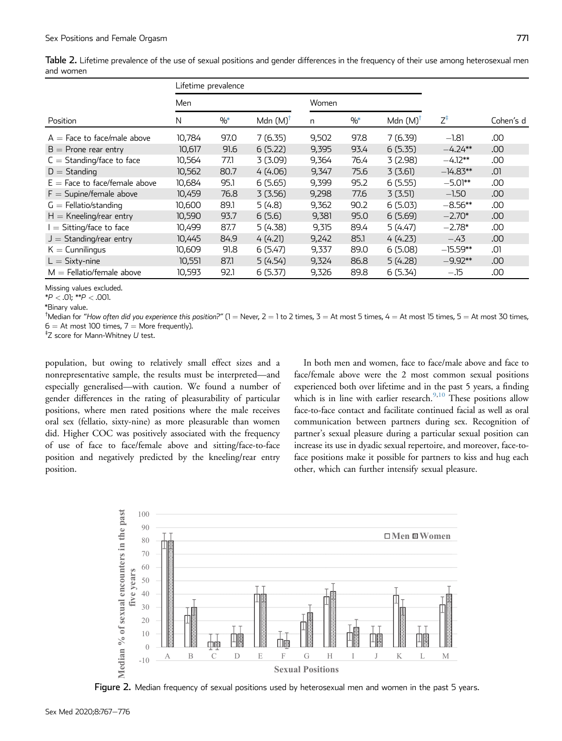| anu wunen                     |        |                     |                     |       |               |                     |                |           |
|-------------------------------|--------|---------------------|---------------------|-------|---------------|---------------------|----------------|-----------|
|                               |        | Lifetime prevalence |                     |       |               |                     |                |           |
|                               | Men    |                     |                     | Women |               |                     |                |           |
| Position                      | N      | $\frac{0}{0}$       | Mdn $(M)^{\dagger}$ | n     | $\frac{0}{6}$ | Mdn $(M)^{\dagger}$ | $7^{\ddagger}$ | Cohen's d |
| $A =$ Face to face/male above | 10,784 | 97.0                | 7(6.35)             | 9,502 | 97.8          | 7 (6.39)            | $-1.81$        | .00       |
| $B =$ Prone rear entry        | 10,617 | 91.6                | 6(5.22)             | 9,395 | 93.4          | 6(5.35)             | $-4.24**$      | .00       |
| $C =$ Standing/face to face   | 10.564 | 77.1                | 3(3.09)             | 9.364 | 76.4          | 3(2.98)             | $-4.12**$      | .00       |
| $D =$ Standing                | 10,562 | 80.7                | 4(4.06)             | 9,347 | 75.6          | 3(3.61)             | $-14.83**$     | .01       |

<span id="page-4-0"></span>Table 2. Lifetime prevalence of the use of sexual positions and gender differences in the frequency of their use among heterosexual men and womer

 $D =$  Standing 10,562 80.7 4 (4.06) 9,347 75.6 3 (3.61)  $-$ 

 $K =$  Cunnilingus 10,609 91.8 6 (5.47) 9,337 89.0 6 (5.08)  $-$ 

L ¼ Sixty-nine 10,551 87.1 5 (4.54) 9,324 86.8 5 (4.28) -

 $M =$  Fellatio/female above  $10,593$  92.1 6 (5.37) 9,326 89.8 6 (5.34) -.15

 $E =$  Face to face/female above  $10,684$  95.1 6 (5.65) 9,399 95.2 6 (5.55)<br>F = Supine/female above 10,459 76.8 3 (3.56) 9,298 77.6 3 (3.51)

 $F =$  Supine/female above  $10,459$   $76.8$   $3$   $(3.56)$   $9,298$   $77.6$   $3$   $(3.51)$ <br>  $G =$  Fellatio/standing  $10,600$   $89.1$   $5$   $(4.8)$   $9,362$   $90.2$   $6$   $(5.03)$ 

G ¼ Fellatio/standing 10,600 89.1 5 (4.8) 9,362 90.2 6 (5.03) -

 $H =$  Kneeling/rear entry  $10,590$  93.7 6 (5.6) 9,381 95.0 6 (5.69)<br>  $I =$  Sitting/face to face  $10,499$  87.7 5 (4.38) 9,315 89.4 5 (4.47)

I = Sitting/face to face  $10,499$  87.7 5 (4.38) 9,315 89.4 5 (4.47)<br>
J = Standing/rear entry  $10,445$  84.9 4 (4.21) 9,242 85.1 4 (4.23)

 $J =$  Standing/rear entry  $10,445$   $84.9$   $4(4.21)$   $9,242$   $85.1$   $4(4.23)$ <br>K = Cunnilingus  $10,609$   $91.8$   $6(5.47)$   $9,337$   $89.0$   $6(5.08)$ 

Missing values excluded.

 $*P < .01; **P < .001$ .

<span id="page-4-3"></span>\*Binary value.

<span id="page-4-4"></span><sup>†</sup>Median for "How often did you experience this position?" (1 = Never, 2 = 1 to 2 times, 3 = At most 5 times, 4 = At most 15 times, 5 = At most 30 times,  $6 = At$  most 100 times,  $7 =$  More frequently).

<span id="page-4-2"></span> $^{\ddagger}$ Z score for Mann-Whitney  $U$  test.

population, but owing to relatively small effect sizes and a nonrepresentative sample, the results must be interpreted—and especially generalised—with caution. We found a number of gender differences in the rating of pleasurability of particular positions, where men rated positions where the male receives oral sex (fellatio, sixty-nine) as more pleasurable than women did. Higher COC was positively associated with the frequency of use of face to face/female above and sitting/face-to-face position and negatively predicted by the kneeling/rear entry position.

In both men and women, face to face/male above and face to face/female above were the 2 most common sexual positions experienced both over lifetime and in the past 5 years, a finding which is in line with earlier research. $9,10$  $9,10$  These positions allow face-to-face contact and facilitate continued facial as well as oral communication between partners during sex. Recognition of partner's sexual pleasure during a particular sexual position can increase its use in dyadic sexual repertoire, and moreover, face-toface positions make it possible for partners to kiss and hug each other, which can further intensify sexual pleasure.

<span id="page-4-1"></span>

Figure 2. Median frequency of sexual positions used by heterosexual men and women in the past 5 years.

 $-5.01***$  .00

 $-1.50$  .00

 $-8.56**$  .00

 $-2.70*$  .00

 $-2.78$ \* .00

 $-.43$  .00

 $-15.59***$  .01

9.92\*\* .00

.15 .00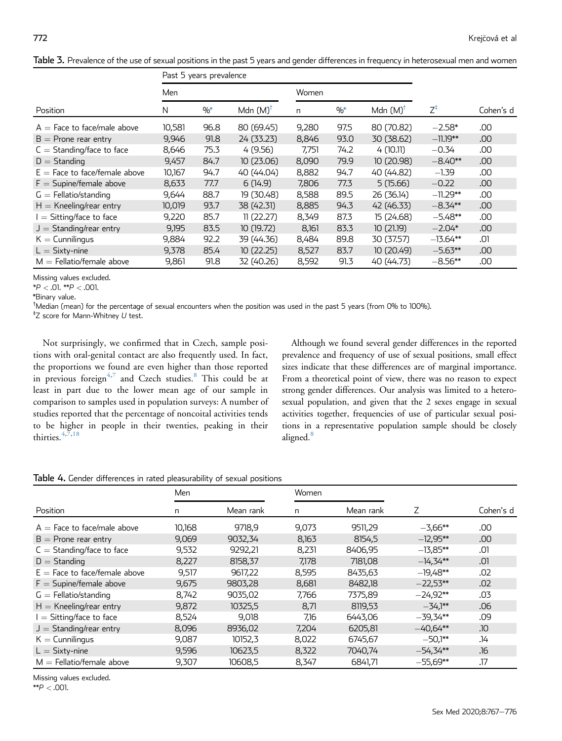|                                 | Past 5 years prevalence |                 |                     |       |               |                     |                |           |
|---------------------------------|-------------------------|-----------------|---------------------|-------|---------------|---------------------|----------------|-----------|
|                                 | Men                     |                 |                     | Women |               |                     |                |           |
| Position                        | N                       | $\frac{0}{0^*}$ | Mdn $(M)^{\dagger}$ | n     | $\frac{0}{6}$ | Mdn $(M)^{\dagger}$ | $Z^{\ddagger}$ | Cohen's d |
| $A =$ Face to face/male above   | 10,581                  | 96.8            | 80 (69.45)          | 9,280 | 97.5          | 80 (70.82)          | $-2.58*$       | .00       |
| $B =$ Prone rear entry          | 9,946                   | 91.8            | 24 (33.23)          | 8,846 | 93.0          | 30 (38.62)          | $-11.19***$    | .00       |
| $C =$ Standing/face to face     | 8,646                   | 75.3            | 4(9.56)             | 7,751 | 74.2          | 4 (10.11)           | $-0.34$        | .00       |
| $D =$ Standing                  | 9,457                   | 84.7            | 10(23.06)           | 8,090 | 79.9          | 10(20.98)           | $-8.40**$      | .00       |
| $E =$ Face to face/female above | 10,167                  | 94.7            | 40 (44.04)          | 8,882 | 94.7          | 40 (44.82)          | $-1.39$        | .00       |
| $F =$ Supine/female above       | 8,633                   | 77.7            | 6(14.9)             | 7,806 | 77.3          | 5(15.66)            | $-0.22$        | .00       |
| $G =$ Fellatio/standing         | 9,644                   | 88.7            | 19 (30.48)          | 8,588 | 89.5          | 26 (36.14)          | $-11.29**$     | .00       |
| $H =$ Kneeling/rear entry       | 10,019                  | 93.7            | 38 (42.31)          | 8,885 | 94.3          | 42 (46.33)          | $-8.34**$      | .00       |
| $I = Sitting/face$ to face      | 9,220                   | 85.7            | 11(22.27)           | 8,349 | 87.3          | 15(24.68)           | $-5.48**$      | .00       |
| $J =$ Standing/rear entry       | 9,195                   | 83.5            | 10(19.72)           | 8,161 | 83.3          | 10(21.19)           | $-2.04*$       | .00       |
| $K =$ Cunnilingus               | 9,884                   | 92.2            | 39 (44.36)          | 8,484 | 89.8          | 30 (37.57)          | $-13.64**$     | .01       |
| $L =$ Sixty-nine                | 9,378                   | 85.4            | 10(22.25)           | 8,527 | 83.7          | 10(20.49)           | $-5.63**$      | .00       |
| $M =$ Fellatio/female above     | 9,861                   | 91.8            | 32 (40.26)          | 8,592 | 91.3          | 40 (44.73)          | $-8.56**$      | .00       |

<span id="page-5-0"></span>Table 3. Prevalence of the use of sexual positions in the past 5 years and gender differences in frequency in heterosexual men and women

Missing values excluded.

 $*P < .01$ .  $*P < .001$ .

<span id="page-5-3"></span>\*Binary value.

<span id="page-5-4"></span>† Median (mean) for the percentage of sexual encounters when the position was used in the past 5 years (from 0% to 100%).

<span id="page-5-2"></span>‡ Z score for Mann-Whitney U test.

Not surprisingly, we confirmed that in Czech, sample positions with oral-genital contact are also frequently used. In fact, the proportions we found are even higher than those reported in previous foreign<sup>[4,](#page-8-3)[7](#page-8-5)</sup> and Czech studies.<sup>[8](#page-8-4)</sup> This could be at least in part due to the lower mean age of our sample in comparison to samples used in population surveys: A number of studies reported that the percentage of noncoital activities tends to be higher in people in their twenties, peaking in their thirties.  $4,7,18$  $4,7,18$  $4,7,18$ 

Although we found several gender differences in the reported prevalence and frequency of use of sexual positions, small effect sizes indicate that these differences are of marginal importance. From a theoretical point of view, there was no reason to expect strong gender differences. Our analysis was limited to a heterosexual population, and given that the 2 sexes engage in sexual activities together, frequencies of use of particular sexual positions in a representative population sample should be closely aligned.<sup>[8](#page-8-4)</sup>

<span id="page-5-1"></span>Table 4. Gender differences in rated pleasurability of sexual positions

|                                 | Men    |           | Women |           |            |           |
|---------------------------------|--------|-----------|-------|-----------|------------|-----------|
| Position                        | n      | Mean rank | n     | Mean rank | Ζ          | Cohen's d |
| $A =$ Face to face/male above   | 10,168 | 9718,9    | 9,073 | 9511,29   | $-3,66**$  | .00       |
| $B =$ Prone rear entry          | 9,069  | 9032,34   | 8,163 | 8154,5    | $-12,95**$ | .00       |
| $C =$ Standing/face to face     | 9,532  | 9292,21   | 8,231 | 8406.95   | $-13,85**$ | .01       |
| $D =$ Standing                  | 8,227  | 8158,37   | 7,178 | 7181,08   | $-14.34**$ | .01       |
| $E =$ Face to face/female above | 9,517  | 9617,22   | 8,595 | 8435,63   | $-19,48**$ | .02       |
| $F =$ Supine/female above       | 9,675  | 9803,28   | 8,681 | 8482.18   | $-22.53**$ | .02       |
| $G =$ Fellatio/standing         | 8,742  | 9035,02   | 7,766 | 7375,89   | $-24.92**$ | .03       |
| $H =$ Kneeling/rear entry       | 9,872  | 10325,5   | 8,71  | 8119,53   | $-34.1***$ | .06       |
| $I =$ Sitting/face to face      | 8,524  | 9,018     | 7,16  | 6443,06   | $-39,34**$ | .09       |
| $J =$ Standing/rear entry       | 8,096  | 8936,02   | 7,204 | 6205,81   | $-40.64**$ | <b>JO</b> |
| $K =$ Cunnilingus               | 9,087  | 10152,3   | 8,022 | 6745,67   | $-50.1**$  | .14       |
| $L =$ Sixty-nine                | 9,596  | 10623,5   | 8,322 | 7040,74   | $-54.34**$ | .16       |
| $M =$ Fellatio/female above     | 9,307  | 10608,5   | 8,347 | 6841,71   | $-55.69**$ | .17       |

Missing values excluded.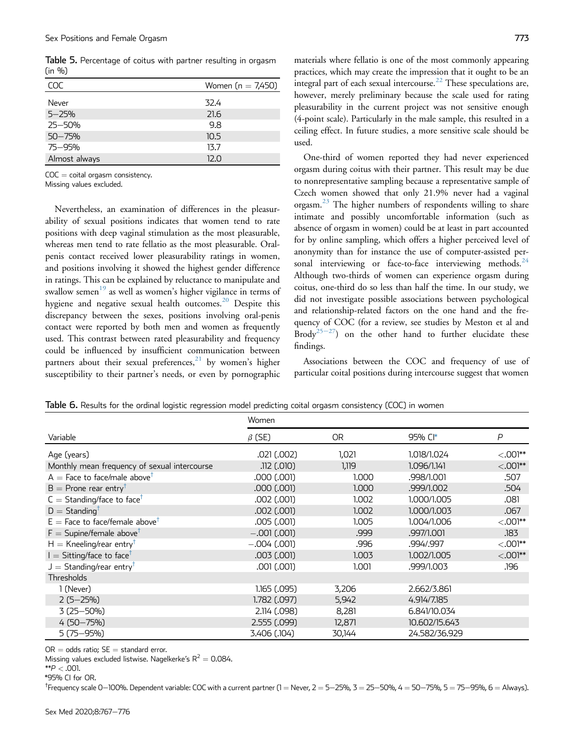<span id="page-6-0"></span>Table 5. Percentage of coitus with partner resulting in orgasm (in %)

| COC           | Women $(n = 7,450)$ |
|---------------|---------------------|
| Never         | 32.4                |
| $5 - 25%$     | 21.6                |
| $25 - 50%$    | 9.8                 |
| $50 - 75%$    | 10.5                |
| 75-95%        | 13.7                |
| Almost always | 12.0                |

 $COC =$  coital orgasm consistency.

Missing values excluded.

Nevertheless, an examination of differences in the pleasurability of sexual positions indicates that women tend to rate positions with deep vaginal stimulation as the most pleasurable, whereas men tend to rate fellatio as the most pleasurable. Oralpenis contact received lower pleasurability ratings in women, and positions involving it showed the highest gender difference in ratings. This can be explained by reluctance to manipulate and swallow semen $19$  as well as women's higher vigilance in terms of hygiene and negative sexual health outcomes.<sup>[20](#page-8-17)</sup> Despite this discrepancy between the sexes, positions involving oral-penis contact were reported by both men and women as frequently used. This contrast between rated pleasurability and frequency could be influenced by insufficient communication between partners about their sexual preferences, $21$  by women's higher susceptibility to their partner's needs, or even by pornographic materials where fellatio is one of the most commonly appearing practices, which may create the impression that it ought to be an integral part of each sexual intercourse.<sup>[22](#page-8-19)</sup> These speculations are, however, merely preliminary because the scale used for rating pleasurability in the current project was not sensitive enough (4-point scale). Particularly in the male sample, this resulted in a ceiling effect. In future studies, a more sensitive scale should be used.

One-third of women reported they had never experienced orgasm during coitus with their partner. This result may be due to nonrepresentative sampling because a representative sample of Czech women showed that only 21.9% never had a vaginal orgasm.[23](#page-8-20) The higher numbers of respondents willing to share intimate and possibly uncomfortable information (such as absence of orgasm in women) could be at least in part accounted for by online sampling, which offers a higher perceived level of anonymity than for instance the use of computer-assisted personal interviewing or face-to-face interviewing methods. $24$ Although two-thirds of women can experience orgasm during coitus, one-third do so less than half the time. In our study, we did not investigate possible associations between psychological and relationship-related factors on the one hand and the frequency of COC (for a review, see studies by Meston et al and Brody<sup>[25](#page-8-22)-27</sup>) on the other hand to further elucidate these findings.

Associations between the COC and frequency of use of particular coital positions during intercourse suggest that women

<span id="page-6-1"></span>Table 6. Results for the ordinal logistic regression model predicting coital orgasm consistency (COC) in women

|                                              | Women           |           |               |              |  |  |  |
|----------------------------------------------|-----------------|-----------|---------------|--------------|--|--|--|
| Variable                                     | $\beta$ (SE)    | <b>OR</b> | 95% CI*       | $\mathsf{P}$ |  |  |  |
| Age (years)                                  | .021 (.002)     | 1,021     | 1.018/1.024   | $<$ .001**   |  |  |  |
| Monthly mean frequency of sexual intercourse | .112 (.010)     | 1,119     | 1.096/1.141   | $< 0.001**$  |  |  |  |
| $A =$ Face to face/male above <sup>†</sup>   | .000 (.001)     | 1.000     | .998/1.001    | .507         |  |  |  |
| $B =$ Prone rear entry <sup>†</sup>          | .000 (.001)     | 1.000     | .999/1.002    | .504         |  |  |  |
| $C =$ Standing/face to face <sup>†</sup>     | .002(.001)      | 1.002     | 1.000/1.005   | .081         |  |  |  |
| $D =$ Standing <sup>†</sup>                  | $.002$ $(.001)$ | 1.002     | 1.000/1.003   | .067         |  |  |  |
| $E =$ Face to face/female above <sup>†</sup> | .005 (.001)     | 1.005     | 1.004/1.006   | $<$ 001**    |  |  |  |
| $F =$ Supine/female above <sup>†</sup>       | $-.001$ (.001)  | .999      | .997/1.001    | .183         |  |  |  |
| $H =$ Kneeling/rear entry <sup>†</sup>       | $-.004$ (.001)  | .996      | .994/.997     | $< 0.001**$  |  |  |  |
| $I = Sitting/face$ to face <sup>T</sup>      | $.003$ $(.001)$ | 1.003     | 1.002/1.005   | $< 0.001**$  |  |  |  |
| $J =$ Standing/rear entry <sup>†</sup>       | .001(.001)      | 1.001     | .999/1.003    | .196         |  |  |  |
| <b>Thresholds</b>                            |                 |           |               |              |  |  |  |
| 1 (Never)                                    | 1.165 (.095)    | 3,206     | 2.662/3.861   |              |  |  |  |
| $2(5 - 25%)$                                 | 1.782 (.097)    | 5,942     | 4.914/7.185   |              |  |  |  |
| $3(25 - 50\%)$                               | 2.114 (.098)    | 8,281     | 6.841/10.034  |              |  |  |  |
| $4(50 - 75%)$                                | 2.555 (.099)    | 12,871    | 10.602/15.643 |              |  |  |  |
| $5(75 - 95%)$                                | 3.406 (.104)    | 30,144    | 24.582/36.929 |              |  |  |  |

 $OR = odds ratio; SE = standard error.$ 

Missing values excluded listwise. Nagelkerke's  $R^2 = 0.084$ .

 $*$  $P$  < .001.

<span id="page-6-2"></span>\*95% CI for OR.

<span id="page-6-3"></span><sup>†</sup>Frequency scale 0—100%. Dependent variable: COC with a current partner (1 = Never, 2 = 5—25%, 3 = 25—50%, 4 = 50—75%, 5 = 75—95%, 6 = Always).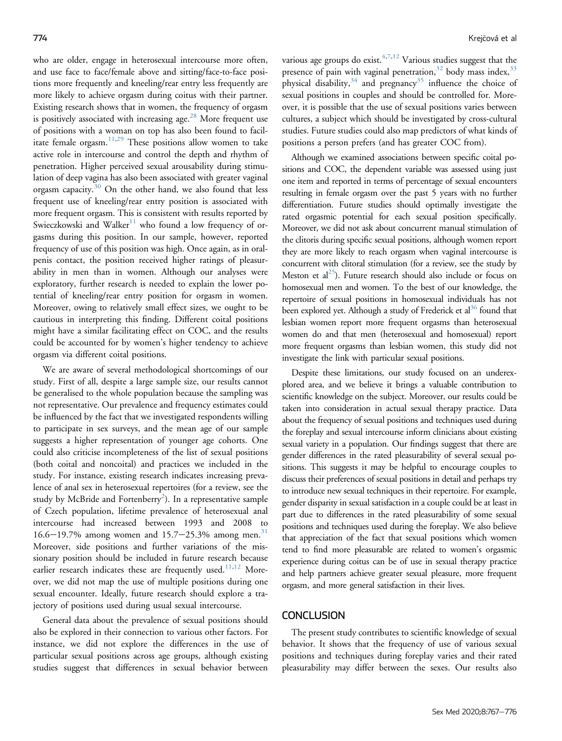who are older, engage in heterosexual intercourse more often, and use face to face/female above and sitting/face-to-face positions more frequently and kneeling/rear entry less frequently are more likely to achieve orgasm during coitus with their partner. Existing research shows that in women, the frequency of orgasm is positively associated with increasing age.<sup>[28](#page-9-0)</sup> More frequent use of positions with a woman on top has also been found to facil-itate female orgasm.<sup>[11,](#page-8-8)[29](#page-9-1)</sup> These positions allow women to take active role in intercourse and control the depth and rhythm of penetration. Higher perceived sexual arousability during stimulation of deep vagina has also been associated with greater vaginal orgasm capacity. $30$  On the other hand, we also found that less frequent use of kneeling/rear entry position is associated with more frequent orgasm. This is consistent with results reported by Swieczkowski and Walker<sup>[11](#page-8-8)</sup> who found a low frequency of orgasms during this position. In our sample, however, reported frequency of use of this position was high. Once again, as in oralpenis contact, the position received higher ratings of pleasurability in men than in women. Although our analyses were exploratory, further research is needed to explain the lower potential of kneeling/rear entry position for orgasm in women. Moreover, owing to relatively small effect sizes, we ought to be cautious in interpreting this finding. Different coital positions might have a similar facilitating effect on COC, and the results could be accounted for by women's higher tendency to achieve orgasm via different coital positions.

We are aware of several methodological shortcomings of our study. First of all, despite a large sample size, our results cannot be generalised to the whole population because the sampling was not representative. Our prevalence and frequency estimates could be influenced by the fact that we investigated respondents willing to participate in sex surveys, and the mean age of our sample suggests a higher representation of younger age cohorts. One could also criticise incompleteness of the list of sexual positions (both coital and noncoital) and practices we included in the study. For instance, existing research indicates increasing prevalence of anal sex in heterosexual repertoires (for a review, see the study by McBride and Fortenberry $^2$  $^2$ ). In a representative sample of Czech population, lifetime prevalence of heterosexual anal intercourse had increased between 1993 and 2008 to  $16.6 - 19.7\%$  among women and  $15.7 - 25.3\%$  among men.<sup>[31](#page-9-3)</sup> Moreover, side positions and further variations of the missionary position should be included in future research because earlier research indicates these are frequently used.<sup>[11](#page-8-8)[,12](#page-8-9)</sup> Moreover, we did not map the use of multiple positions during one sexual encounter. Ideally, future research should explore a trajectory of positions used during usual sexual intercourse.

General data about the prevalence of sexual positions should also be explored in their connection to various other factors. For instance, we did not explore the differences in the use of particular sexual positions across age groups, although existing studies suggest that differences in sexual behavior between

various age groups do exist.  $4,7,12$  $4,7,12$  $4,7,12$  Various studies suggest that the presence of pain with vaginal penetration, $32$  body mass index,  $33$ physical disability, $34$  and pregnancy $35$  influence the choice of sexual positions in couples and should be controlled for. Moreover, it is possible that the use of sexual positions varies between cultures, a subject which should be investigated by cross-cultural studies. Future studies could also map predictors of what kinds of positions a person prefers (and has greater COC from).

Although we examined associations between specific coital positions and COC, the dependent variable was assessed using just one item and reported in terms of percentage of sexual encounters resulting in female orgasm over the past 5 years with no further differentiation. Future studies should optimally investigate the rated orgasmic potential for each sexual position specifically. Moreover, we did not ask about concurrent manual stimulation of the clitoris during specific sexual positions, although women report they are more likely to reach orgasm when vaginal intercourse is concurrent with clitoral stimulation (for a review, see the study by Meston et al<sup>25</sup>). Future research should also include or focus on homosexual men and women. To the best of our knowledge, the repertoire of sexual positions in homosexual individuals has not been explored yet. Although a study of Frederick et al<sup>36</sup> found that lesbian women report more frequent orgasms than heterosexual women do and that men (heterosexual and homosexual) report more frequent orgasms than lesbian women, this study did not investigate the link with particular sexual positions.

Despite these limitations, our study focused on an underexplored area, and we believe it brings a valuable contribution to scientific knowledge on the subject. Moreover, our results could be taken into consideration in actual sexual therapy practice. Data about the frequency of sexual positions and techniques used during the foreplay and sexual intercourse inform clinicians about existing sexual variety in a population. Our findings suggest that there are gender differences in the rated pleasurability of several sexual positions. This suggests it may be helpful to encourage couples to discuss their preferences of sexual positions in detail and perhaps try to introduce new sexual techniques in their repertoire. For example, gender disparity in sexual satisfaction in a couple could be at least in part due to differences in the rated pleasurability of some sexual positions and techniques used during the foreplay. We also believe that appreciation of the fact that sexual positions which women tend to find more pleasurable are related to women's orgasmic experience during coitus can be of use in sexual therapy practice and help partners achieve greater sexual pleasure, more frequent orgasm, and more general satisfaction in their lives.

#### **CONCLUSION**

The present study contributes to scientific knowledge of sexual behavior. It shows that the frequency of use of various sexual positions and techniques during foreplay varies and their rated pleasurability may differ between the sexes. Our results also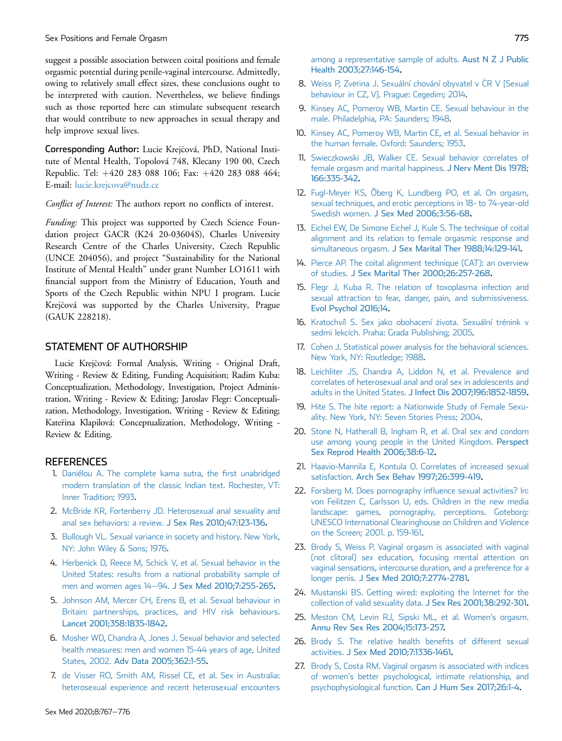suggest a possible association between coital positions and female orgasmic potential during penile-vaginal intercourse. Admittedly, owing to relatively small effect sizes, these conclusions ought to be interpreted with caution. Nevertheless, we believe findings such as those reported here can stimulate subsequent research that would contribute to new approaches in sexual therapy and help improve sexual lives.

Corresponding Author: Lucie Krejcová, PhD, National Institute of Mental Health, Topolová 748, Klecany 190 00, Czech Republic. Tel: +420 283 088 106; Fax: +420 283 088 464; E-mail: [lucie.krejcova@nudz.cz](mailto:lucie.krejcova@nudz.cz)

Conflict of Interest: The authors report no conflicts of interest.

Funding: This project was supported by Czech Science Foundation project GACR (K24 20-03604S), Charles University Research Centre of the Charles University, Czech Republic (UNCE 204056), and project "Sustainability for the National Institute of Mental Health" under grant Number LO1611 with financial support from the Ministry of Education, Youth and Sports of the Czech Republic within NPU I program. Lucie Krejčová was supported by the Charles University, Prague (GAUK 228218).

# STATEMENT OF AUTHORSHIP

Lucie Krejcová: Formal Analysis, Writing - Original Draft, Writing - Review & Editing, Funding Acquisition; Radim Kuba: Conceptualization, Methodology, Investigation, Project Administration, Writing - Review & Editing; Jaroslav Flegr: Conceptualization, Methodology, Investigation, Writing - Review & Editing; Kateřina Klapilová: Conceptualization, Methodology, Writing -Review & Editing.

#### <span id="page-8-0"></span>**REFERENCES**

- 1. [Daniélou A. The complete kama sutra, the](http://refhub.elsevier.com/S2050-1161(20)30092-1/sref1) first unabridged [modern translation of the classic Indian text. Rochester, VT:](http://refhub.elsevier.com/S2050-1161(20)30092-1/sref1) [Inner Tradition; 1993.](http://refhub.elsevier.com/S2050-1161(20)30092-1/sref1)
- <span id="page-8-2"></span><span id="page-8-1"></span>2. [McBride KR, Fortenberry JD. Heterosexual anal sexuality and](http://refhub.elsevier.com/S2050-1161(20)30092-1/sref2) [anal sex behaviors: a review.](http://refhub.elsevier.com/S2050-1161(20)30092-1/sref2) J Sex Res 2010;47:123-136.
- <span id="page-8-3"></span>3. [Bullough VL. Sexual variance in society and history. New York,](http://refhub.elsevier.com/S2050-1161(20)30092-1/sref3) [NY: John Wiley & Sons; 1976](http://refhub.elsevier.com/S2050-1161(20)30092-1/sref3).
- 4. [Herbenick D, Reece M, Schick V, et al. Sexual behavior in the](http://refhub.elsevier.com/S2050-1161(20)30092-1/sref4) [United States: results from a national probability sample of](http://refhub.elsevier.com/S2050-1161(20)30092-1/sref4) [men and women ages 14](http://refhub.elsevier.com/S2050-1161(20)30092-1/sref4)-94. [J Sex Med 2010;7:255-265.](http://refhub.elsevier.com/S2050-1161(20)30092-1/sref4)
- 5. [Johnson AM, Mercer CH, Erens B, et al. Sexual behaviour in](http://refhub.elsevier.com/S2050-1161(20)30092-1/sref5) [Britain: partnerships, practices, and HIV risk behaviours.](http://refhub.elsevier.com/S2050-1161(20)30092-1/sref5) [Lancet 2001;358:1835-1842.](http://refhub.elsevier.com/S2050-1161(20)30092-1/sref5)
- <span id="page-8-5"></span>6. [Mosher WD, Chandra A, Jones J. Sexual behavior and selected](http://refhub.elsevier.com/S2050-1161(20)30092-1/sref6) [health measures: men and women 15-44 years of age, United](http://refhub.elsevier.com/S2050-1161(20)30092-1/sref6) States, 2002. [Adv Data 2005;362:1-55.](http://refhub.elsevier.com/S2050-1161(20)30092-1/sref6)
- 7. [de Visser RO, Smith AM, Rissel CE, et al. Sex in Australia:](http://refhub.elsevier.com/S2050-1161(20)30092-1/sref7) [heterosexual experience and recent heterosexual encounters](http://refhub.elsevier.com/S2050-1161(20)30092-1/sref7)
- <span id="page-8-4"></span>8. [Weiss P, Zv](http://refhub.elsevier.com/S2050-1161(20)30092-1/sref8)ěř[ina J. Sexuální chování obyvatel v](http://refhub.elsevier.com/S2050-1161(20)30092-1/sref8) Č[R V \[Sexual](http://refhub.elsevier.com/S2050-1161(20)30092-1/sref8) [behaviour in CZ, V\]. Prague: Cegedim; 2014.](http://refhub.elsevier.com/S2050-1161(20)30092-1/sref8)
- <span id="page-8-6"></span>9. [Kinsey AC, Pomeroy WB, Martin CE. Sexual behaviour in the](http://refhub.elsevier.com/S2050-1161(20)30092-1/sref9) [male. Philadelphia, PA: Saunders; 1948.](http://refhub.elsevier.com/S2050-1161(20)30092-1/sref9)
- <span id="page-8-7"></span>10. [Kinsey AC, Pomeroy WB, Martin CE, et al. Sexual behavior in](http://refhub.elsevier.com/S2050-1161(20)30092-1/sref10) [the human female. Oxford: Saunders; 1953.](http://refhub.elsevier.com/S2050-1161(20)30092-1/sref10)
- <span id="page-8-8"></span>11. [Swieczkowski JB, Walker CE. Sexual behavior correlates of](http://refhub.elsevier.com/S2050-1161(20)30092-1/sref11) [female orgasm and marital happiness.](http://refhub.elsevier.com/S2050-1161(20)30092-1/sref11) J Nery Ment Dis 1978: [166:335-342](http://refhub.elsevier.com/S2050-1161(20)30092-1/sref11).
- <span id="page-8-9"></span>12. [Fugl-Meyer KS, Öberg K, Lundberg PO, et al. On orgasm,](http://refhub.elsevier.com/S2050-1161(20)30092-1/sref12) [sexual techniques, and erotic perceptions in 18- to 74-year-old](http://refhub.elsevier.com/S2050-1161(20)30092-1/sref12) Swedish women. [J Sex Med 2006;3:56-68.](http://refhub.elsevier.com/S2050-1161(20)30092-1/sref12)
- <span id="page-8-10"></span>13. [Eichel EW, De Simone Eichel J, Kule S. The technique of coital](http://refhub.elsevier.com/S2050-1161(20)30092-1/sref13) [alignment and its relation to female orgasmic response and](http://refhub.elsevier.com/S2050-1161(20)30092-1/sref13) simultaneous orgasm. [J Sex Marital Ther 1988;14:129-141.](http://refhub.elsevier.com/S2050-1161(20)30092-1/sref13)
- <span id="page-8-11"></span>14. [Pierce AP. The coital alignment technique \(CAT\): an overview](http://refhub.elsevier.com/S2050-1161(20)30092-1/sref14) of studies. [J Sex Marital Ther 2000;26:257-268](http://refhub.elsevier.com/S2050-1161(20)30092-1/sref14).
- <span id="page-8-12"></span>15. [Flegr J, Kuba R. The relation of toxoplasma infection and](http://refhub.elsevier.com/S2050-1161(20)30092-1/sref15) [sexual attraction to fear, danger, pain, and submissiveness.](http://refhub.elsevier.com/S2050-1161(20)30092-1/sref15) [Evol Psychol 2016;14.](http://refhub.elsevier.com/S2050-1161(20)30092-1/sref15)
- <span id="page-8-13"></span>16. [Kratochvíl S. Sex jako obohacení](http://refhub.elsevier.com/S2050-1161(20)30092-1/sref16) ž[ivota. Sexuální trénink v](http://refhub.elsevier.com/S2050-1161(20)30092-1/sref16) [sedmi lekcích. Praha: Grada Publishing; 2005](http://refhub.elsevier.com/S2050-1161(20)30092-1/sref16).
- <span id="page-8-14"></span>17. [Cohen J. Statistical power analysis for the behavioral sciences.](http://refhub.elsevier.com/S2050-1161(20)30092-1/sref17) [New York, NY: Routledge; 1988](http://refhub.elsevier.com/S2050-1161(20)30092-1/sref17).
- <span id="page-8-15"></span>18. [Leichliter JS, Chandra A, Liddon N, et al. Prevalence and](http://refhub.elsevier.com/S2050-1161(20)30092-1/sref18) [correlates of heterosexual anal and oral sex in adolescents and](http://refhub.elsevier.com/S2050-1161(20)30092-1/sref18) adults in the United States. [J Infect Dis 2007;196:1852-1859](http://refhub.elsevier.com/S2050-1161(20)30092-1/sref18).
- <span id="page-8-16"></span>19. [Hite S. The hite report: a Nationwide Study of Female Sexu](http://refhub.elsevier.com/S2050-1161(20)30092-1/sref19)[ality. New York, NY: Seven Stories Press; 2004.](http://refhub.elsevier.com/S2050-1161(20)30092-1/sref19)
- <span id="page-8-17"></span>20. [Stone N, Hatherall B, Ingham R, et al. Oral sex and condom](http://refhub.elsevier.com/S2050-1161(20)30092-1/sref20) [use among young people in the United Kingdom.](http://refhub.elsevier.com/S2050-1161(20)30092-1/sref20) Perspect [Sex Reprod Health 2006;38:6-12.](http://refhub.elsevier.com/S2050-1161(20)30092-1/sref20)
- <span id="page-8-18"></span>21. [Haavio-Mannila E, Kontula O. Correlates of increased sexual](http://refhub.elsevier.com/S2050-1161(20)30092-1/sref21) satisfaction. [Arch Sex Behav 1997;26:399-419](http://refhub.elsevier.com/S2050-1161(20)30092-1/sref21).
- <span id="page-8-19"></span>22. [Forsberg M. Does pornography in](http://refhub.elsevier.com/S2050-1161(20)30092-1/sref22)fluence sexual activities? In: [von Feilitzen C, Carlsson U, eds. Children in the new media](http://refhub.elsevier.com/S2050-1161(20)30092-1/sref22) [landscape: games, pornography, perceptions. Goteborg:](http://refhub.elsevier.com/S2050-1161(20)30092-1/sref22) [UNESCO International Clearinghouse on Children and Violence](http://refhub.elsevier.com/S2050-1161(20)30092-1/sref22) [on the Screen; 2001. p. 159-161](http://refhub.elsevier.com/S2050-1161(20)30092-1/sref22).
- <span id="page-8-20"></span>23. [Brody S, Weiss P. Vaginal orgasm is associated with vaginal](http://refhub.elsevier.com/S2050-1161(20)30092-1/sref23) [\(not clitoral\) sex education, focusing mental attention on](http://refhub.elsevier.com/S2050-1161(20)30092-1/sref23) [vaginal sensations, intercourse duration, and a preference for a](http://refhub.elsevier.com/S2050-1161(20)30092-1/sref23) longer penis. [J Sex Med 2010;7:2774-2781.](http://refhub.elsevier.com/S2050-1161(20)30092-1/sref23)
- <span id="page-8-21"></span>24. [Mustanski BS. Getting wired: exploiting the Internet for the](http://refhub.elsevier.com/S2050-1161(20)30092-1/sref24) [collection of valid sexuality data.](http://refhub.elsevier.com/S2050-1161(20)30092-1/sref24) J Sex Res 2001;38:292-301.
- <span id="page-8-22"></span>25. [Meston CM, Levin RJ, Sipski ML, et al. Women](http://refhub.elsevier.com/S2050-1161(20)30092-1/sref25)'s orgasm. [Annu Rev Sex Res 2004;15:173-257.](http://refhub.elsevier.com/S2050-1161(20)30092-1/sref25)
- 26. [Brody S. The relative health bene](http://refhub.elsevier.com/S2050-1161(20)30092-1/sref26)fits of different sexual activities. [J Sex Med 2010;7:1336-1461.](http://refhub.elsevier.com/S2050-1161(20)30092-1/sref26)
- 27. [Brody S, Costa RM. Vaginal orgasm is associated with indices](http://refhub.elsevier.com/S2050-1161(20)30092-1/sref27) of women'[s better psychological, intimate relationship, and](http://refhub.elsevier.com/S2050-1161(20)30092-1/sref27) psychophysiological function. [Can J Hum Sex 2017;26:1-4.](http://refhub.elsevier.com/S2050-1161(20)30092-1/sref27)